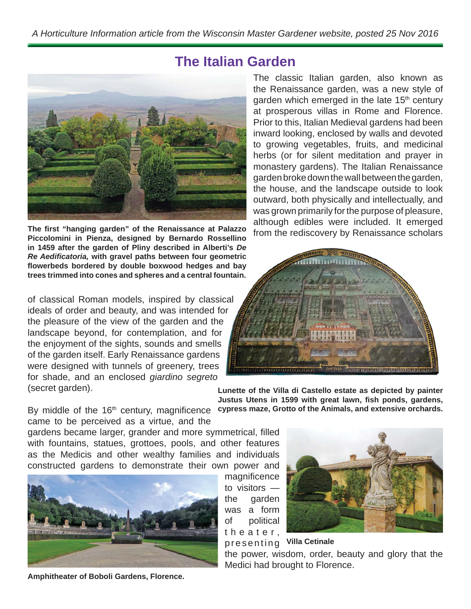## **The Italian Garden**



**The fi rst "hanging garden" of the Renaissance at Palazzo Piccolomini in Pienza, designed by Bernardo Rossellino in 1459 after the garden of Pliny described in Alberti's** *De Re Aedifi catoria,* **with gravel paths between four geometric fl owerbeds bordered by double boxwood hedges and bay trees trimmed into cones and spheres and a central fountain.**

of classical Roman models, inspired by classical ideals of order and beauty, and was intended for the pleasure of the view of the garden and the landscape beyond, for contemplation, and for the enjoyment of the sights, sounds and smells of the garden itself. Early Renaissance gardens were designed with tunnels of greenery, trees for shade, and an enclosed *giardino segreto* (secret garden).

The classic Italian garden, also known as the Renaissance garden, was a new style of garden which emerged in the late 15<sup>th</sup> century at prosperous villas in Rome and Florence. Prior to this, Italian Medieval gardens had been inward looking, enclosed by walls and devoted to growing vegetables, fruits, and medicinal herbs (or for silent meditation and prayer in monastery gardens). The Italian Renaissance garden broke down the wall between the garden, the house, and the landscape outside to look outward, both physically and intellectually, and was grown primarily for the purpose of pleasure, although edibles were included. It emerged from the rediscovery by Renaissance scholars



**Lunette of the Villa di Castello estate as depicted by painter Justus Utens in 1599 with great lawn, fish ponds, gardens,** 

By middle of the 16<sup>th</sup> century, magnificence cypress maze, Grotto of the Animals, and extensive orchards. came to be perceived as a virtue, and the

gardens became larger, grander and more symmetrical, filled with fountains, statues, grottoes, pools, and other features as the Medicis and other wealthy families and individuals constructed gardens to demonstrate their own power and



**Amphitheater of Boboli Gardens, Florence.**

magnificence to visitors the garden was a form of political t h e a t e r ,



## presenting **Villa Cetinale**

the power, wisdom, order, beauty and glory that the Medici had brought to Florence.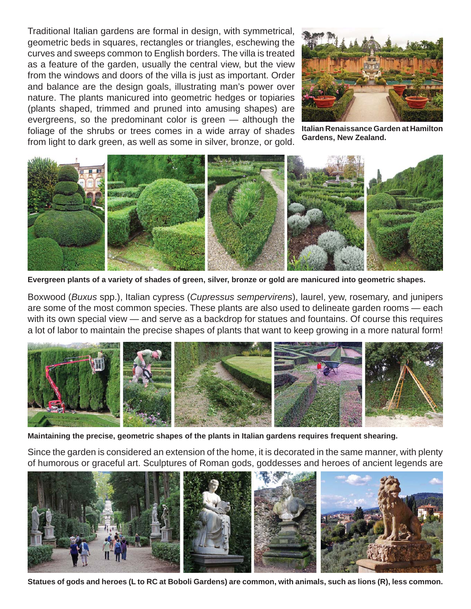Traditional Italian gardens are formal in design, with symmetrical, geometric beds in squares, rectangles or triangles, eschewing the curves and sweeps common to English borders. The villa is treated as a feature of the garden, usually the central view, but the view from the windows and doors of the villa is just as important. Order and balance are the design goals, illustrating man's power over nature. The plants manicured into geometric hedges or topiaries (plants shaped, trimmed and pruned into amusing shapes) are evergreens, so the predominant color is green — although the foliage of the shrubs or trees comes in a wide array of shades from light to dark green, as well as some in silver, bronze, or gold.



**Italian Renaissance Garden at Hamilton Gardens, New Zealand.**



**Evergreen plants of a variety of shades of green, silver, bronze or gold are manicured into geometric shapes.**

Boxwood (*Buxus* spp.), Italian cypress (*Cupressus sempervirens*), laurel, yew, rosemary, and junipers are some of the most common species. These plants are also used to delineate garden rooms — each with its own special view — and serve as a backdrop for statues and fountains. Of course this requires a lot of labor to maintain the precise shapes of plants that want to keep growing in a more natural form!



**Maintaining the precise, geometric shapes of the plants in Italian gardens requires frequent shearing.**

Since the garden is considered an extension of the home, it is decorated in the same manner, with plenty of humorous or graceful art. Sculptures of Roman gods, goddesses and heroes of ancient legends are



**Statues of gods and heroes (L to RC at Boboli Gardens) are common, with animals, such as lions (R), less common.**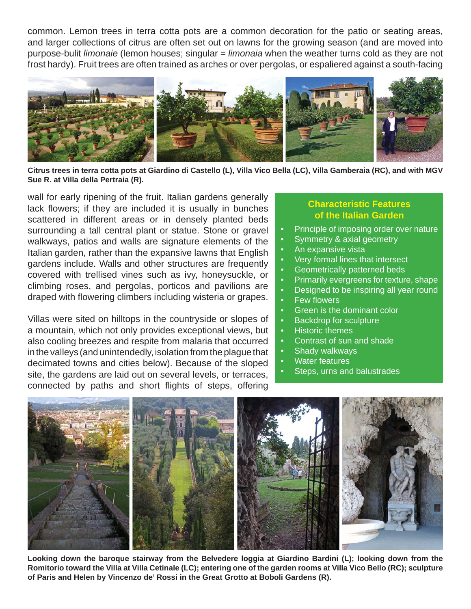common. Lemon trees in terra cotta pots are a common decoration for the patio or seating areas, and larger collections of citrus are often set out on lawns for the growing season (and are moved into purpose-bulit *limonaie* (lemon houses; singular = *limonaia* when the weather turns cold as they are not frost hardy). Fruit trees are often trained as arches or over pergolas, or espaliered against a south-facing



**Citrus trees in terra cotta pots at Giardino di Castello (L), Villa Vico Bella (LC), Villa Gamberaia (RC), and with MGV Sue R. at Villa della Pertraia (R).**

wall for early ripening of the fruit. Italian gardens generally lack flowers; if they are included it is usually in bunches scattered in different areas or in densely planted beds surrounding a tall central plant or statue. Stone or gravel walkways, patios and walls are signature elements of the Italian garden, rather than the expansive lawns that English gardens include. Walls and other structures are frequently covered with trellised vines such as ivy, honeysuckle, or climbing roses, and pergolas, porticos and pavilions are draped with flowering climbers including wisteria or grapes.

Villas were sited on hilltops in the countryside or slopes of a mountain, which not only provides exceptional views, but also cooling breezes and respite from malaria that occurred in the valleys (and unintendedly, isolation from the plague that decimated towns and cities below). Because of the sloped site, the gardens are laid out on several levels, or terraces, connected by paths and short flights of steps, offering

## **Characteristic Features of the Italian Garden**

- Principle of imposing order over nature
- **Symmetry & axial geometry**
- An expansive vista
- Very formal lines that intersect
- Geometrically patterned beds
- Primarily evergreens for texture, shape
- Designed to be inspiring all year round
- **Few flowers**
- Green is the dominant color
- Backdrop for sculpture
- Historic themes
- Contrast of sun and shade
- Shady walkways
- Water features
- Steps, urns and balustrades



**Looking down the baroque stairway from the Belvedere loggia at Giardino Bardini (L); looking down from the Romitorio toward the Villa at Villa Cetinale (LC); entering one of the garden rooms at Villa Vico Bello (RC); sculpture of Paris and Helen by Vincenzo de' Rossi in the Great Grotto at Boboli Gardens (R).**